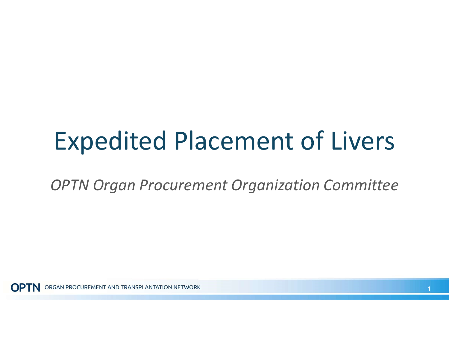# Expedited Placement of Livers

OPTN Organ Procurement Organization Committee

**OPTN** ORGAN PROCUREMENT AND TRANSPLANTATION NETWORK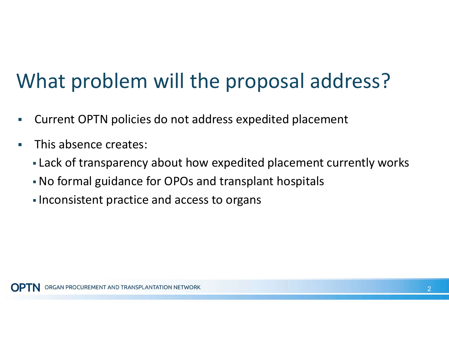## What problem will the proposal address?

- Current OPTN policies do not address expedited placement
- **This absence creates:** 
	- Lack of transparency about how expedited placement currently works
	- No formal guidance for OPOs and transplant hospitals
	- **Inconsistent practice and access to organs**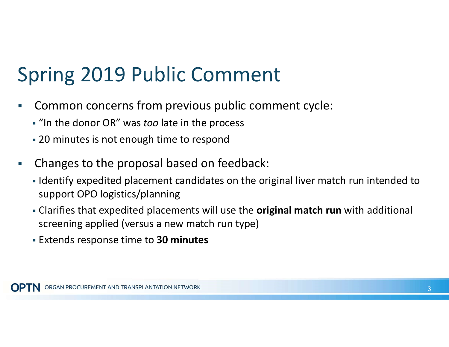## Spring 2019 Public Comment

- Common concerns from previous public comment cycle:
	- "In the donor OR" was too late in the process
	- 20 minutes is not enough time to respond
- **Changes to the proposal based on feedback:** 
	- I Identify expedited placement candidates on the original liver match run intended to support OPO logistics/planning
	- Clarifies that expedited placements will use the original match run with additional screening applied (versus a new match run type)
	- **Extends response time to 30 minutes**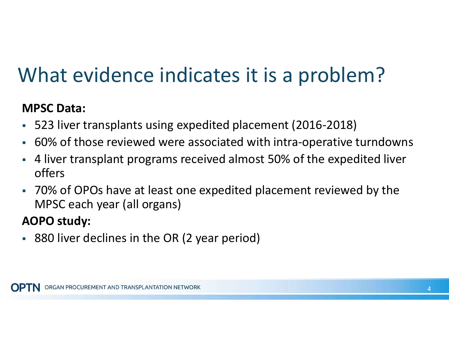## What evidence indicates it is a problem?

#### MPSC Data:

- 523 liver transplants using expedited placement (2016-2018)
- 60% of those reviewed were associated with intra-operative turndowns
- 4 liver transplant programs received almost 50% of the expedited liver offers
- 70% of OPOs have at least one expedited placement reviewed by the MPSC each year (all organs)

#### AOPO study:

**880 liver declines in the OR (2 year period)**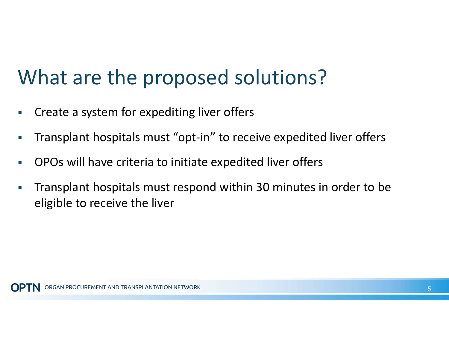## What are the proposed solutions?

- **Create a system for expediting liver offers**
- **Transplant hospitals must "opt-in" to receive expedited liver offers**
- OPOs will have criteria to initiate expedited liver offers
- **Transplant hospitals must respond within 30 minutes in order to be** eligible to receive the liver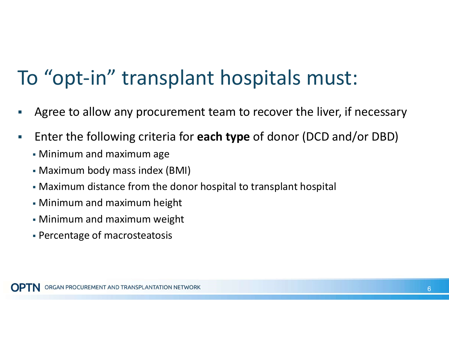## To "opt-in" transplant hospitals must:

- **Agree to allow any procurement team to recover the liver, if necessary**
- **Enter the following criteria for each type of donor (DCD and/or DBD)** 
	- Minimum and maximum age
	- Maximum body mass index (BMI)
	- Maximum distance from the donor hospital to transplant hospital
	- Minimum and maximum height
	- Minimum and maximum weight
	- Percentage of macrosteatosis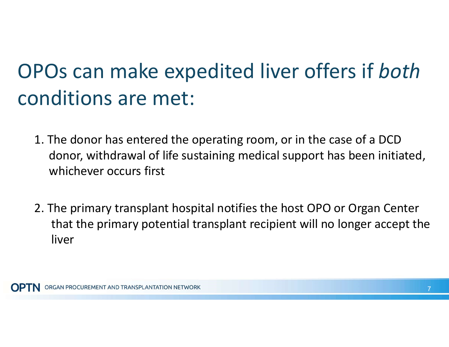## OPOs can make expedited liver offers if both conditions are met:

- 1. The donor has entered the operating room, or in the case of a DCD donor, withdrawal of life sustaining medical support has been initiated, whichever occurs first
- 2. The primary transplant hospital notifies the host OPO or Organ Center that the primary potential transplant recipient will no longer accept the liver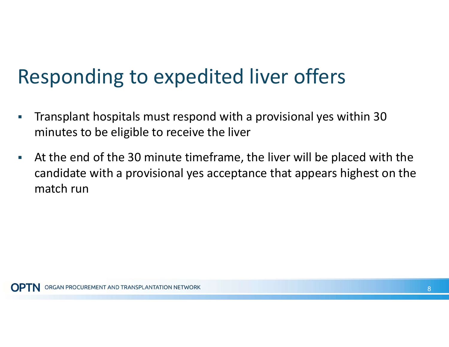### Responding to expedited liver offers

- Transplant hospitals must respond with a provisional yes within 30 minutes to be eligible to receive the liver
- At the end of the 30 minute timeframe, the liver will be placed with the candidate with a provisional yes acceptance that appears highest on the match run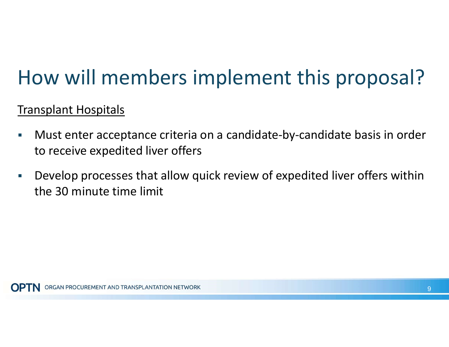## How will members implement this proposal?

#### Transplant Hospitals

- Must enter acceptance criteria on a candidate-by-candidate basis in order to receive expedited liver offers
- **Develop processes that allow quick review of expedited liver offers within** the 30 minute time limit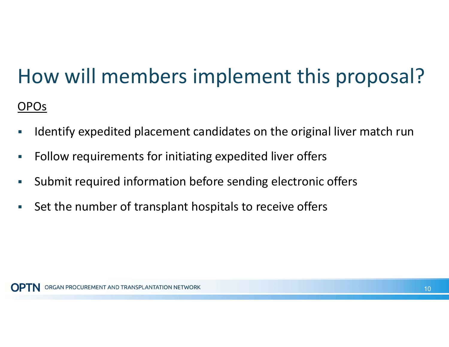## How will members implement this proposal? **OPOS**

- **IDENTIFY EXPEDITED PEACEMENT CANDIGERY OF SHARE IS A THE UP THARK** FIGURE
- **Follow requirements for initiating expedited liver offers**
- Submit required information before sending electronic offers
- Set the number of transplant hospitals to receive offers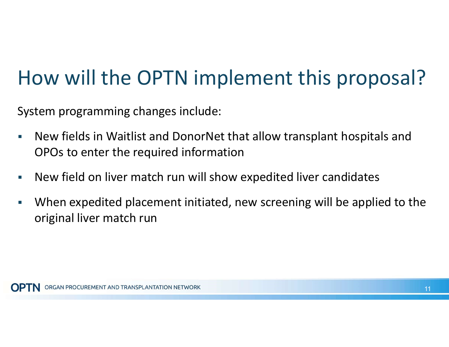## How will the OPTN implement this proposal?

System programming changes include:

- New fields in Waitlist and DonorNet that allow transplant hospitals and OPOs to enter the required information
- New field on liver match run will show expedited liver candidates
- When expedited placement initiated, new screening will be applied to the original liver match run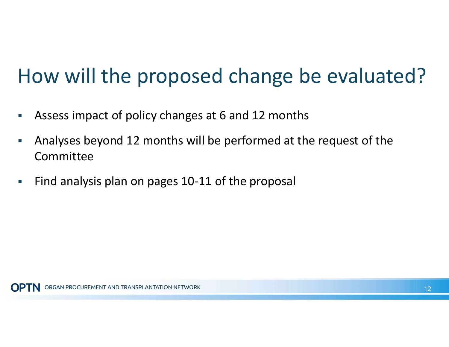## How will the proposed change be evaluated?

- Assess impact of policy changes at 6 and 12 months
- Analyses beyond 12 months will be performed at the request of the **Committee**
- Find analysis plan on pages 10-11 of the proposal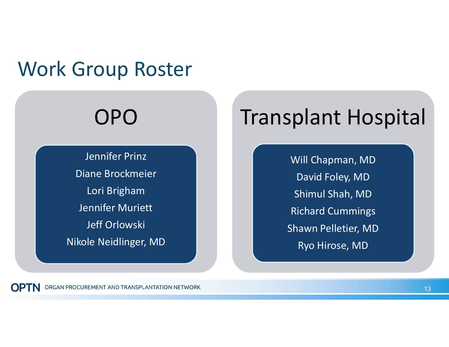## Work Group Roster

## OPO

Jennifer Prinz Diane Brockmeier Lori Brigham Jennifer Muriett Jeff Orlowski Nikole Neidlinger, MD

### Transplant Hospital

Will Chapman, MD David Foley, MD Shimul Shah, MD Richard Cummings Shawn Pelletier, MD Ryo Hirose, MD

ORGAN PROCUREMENT AND TRANSPLANTATION NETWORK